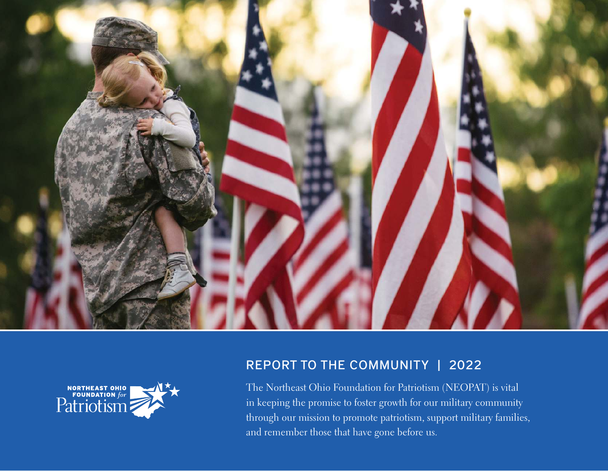



### REPORT TO THE COMMUNITY | 2022

The Northeast Ohio Foundation for Patriotism (NEOPAT) is vital in keeping the promise to foster growth for our military community through our mission to promote patriotism, support military families, and remember those that have gone before us.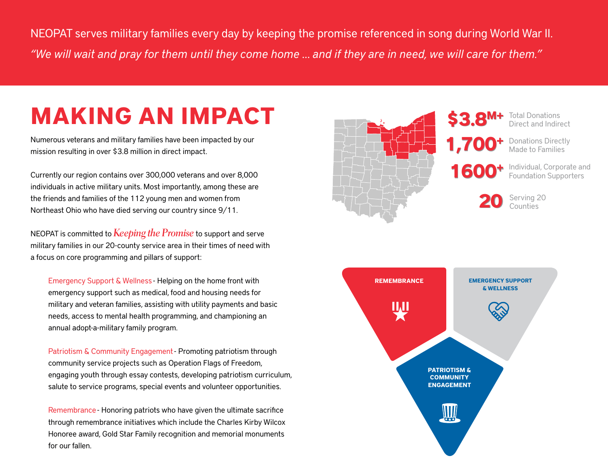NEOPAT serves military families every day by keeping the promise referenced in song during World War II. *"We will wait and pray for them until they come home … and if they are in need, we will care for them."* 

### **MAKING AN IMPACT**

Numerous veterans and military families have been impacted by our mission resulting in over \$3.8 million in direct impact.

Currently our region contains over 300,000 veterans and over 8,000 individuals in active military units. Most importantly, among these are the friends and families of the 112 young men and women from Northeast Ohio who have died serving our country since 9/11.

NEOPAT is committed to **Keeping the Promise** to support and serve military families in our 20-county service area in their times of need with a focus on core programming and pillars of support:

Emergency Support & Wellness - Helping on the home front with emergency support such as medical, food and housing needs for military and veteran families, assisting with utility payments and basic needs, access to mental health programming, and championing an annual adopt-a-military family program.

Patriotism & Community Engagement - Promoting patriotism through community service projects such as Operation Flags of Freedom, engaging youth through essay contests, developing patriotism curriculum, salute to service programs, special events and volunteer opportunities.

Remembrance - Honoring patriots who have given the ultimate sacrifice through remembrance initiatives which include the Charles Kirby Wilcox Honoree award, Gold Star Family recognition and memorial monuments for our fallen.



Total Donations Direct and Indirect

Donations Directly Made to Families

Individual, Corporate and Foundation Supporters

**20 20** Serving 20 Counties

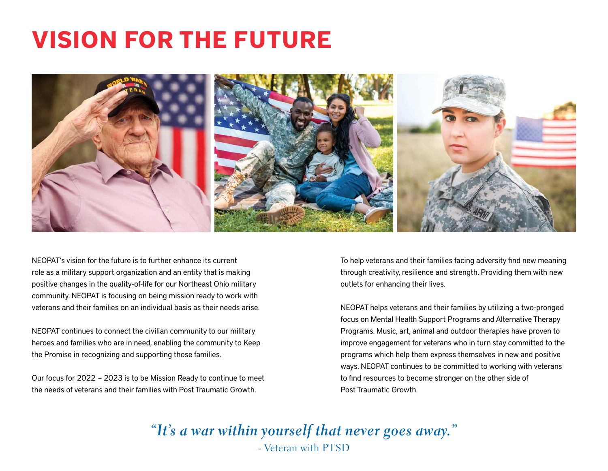### **VISION FOR THE FUTURE**



NEOPAT's vision for the future is to further enhance its current role as a military support organization and an entity that is making positive changes in the quality-of-life for our Northeast Ohio military community. NEOPAT is focusing on being mission ready to work with veterans and their families on an individual basis as their needs arise.

NEOPAT continues to connect the civilian community to our military heroes and families who are in need, enabling the community to Keep the Promise in recognizing and supporting those families.

Our focus for 2022 – 2023 is to be Mission Ready to continue to meet the needs of veterans and their families with Post Traumatic Growth.

To help veterans and their families facing adversity find new meaning through creativity, resilience and strength. Providing them with new outlets for enhancing their lives.

NEOPAT helps veterans and their families by utilizing a two-pronged focus on Mental Health Support Programs and Alternative Therapy Programs. Music, art, animal and outdoor therapies have proven to improve engagement for veterans who in turn stay committed to the programs which help them express themselves in new and positive ways. NEOPAT continues to be committed to working with veterans to find resources to become stronger on the other side of Post Traumatic Growth.

**"It's a war within yourself that never goes away."** - Veteran with PTSD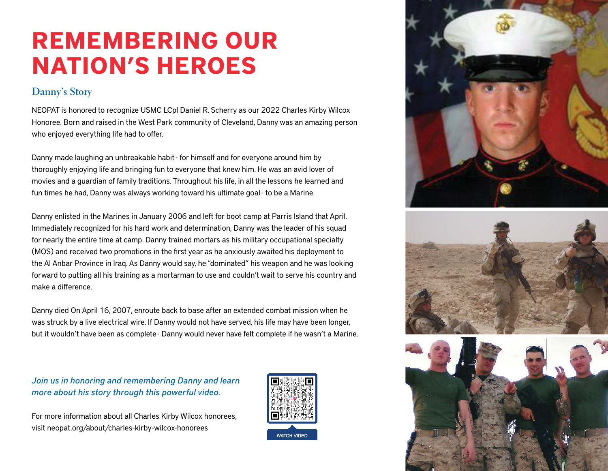## **REMEMBERING OUR NATION'S HEROES**

#### **Danny's Story**

NEOPAT is honored to recognize USMC LCpl Daniel R. Scherry as our 2022 Charles Kirby Wilcox Honoree. Born and raised in the West Park community of Cleveland, Danny was an amazing person who enjoyed everything life had to offer.

Danny made laughing an unbreakable habit - for himself and for everyone around him by thoroughly enjoying life and bringing fun to everyone that knew him. He was an avid lover of movies and a guardian of family traditions. Throughout his life, in all the lessons he learned and fun times he had, Danny was always working toward his ultimate goal - to be a Marine.

Danny enlisted in the Marines in January 2006 and left for boot camp at Parris Island that April. Immediately recognized for his hard work and determination, Danny was the leader of his squad for nearly the entire time at camp. Danny trained mortars as his military occupational specialty (MOS) and received two promotions in the first year as he anxiously awaited his deployment to the Al Anbar Province in Iraq. As Danny would say, he "dominated" his weapon and he was looking forward to putting all his training as a mortarman to use and couldn't wait to serve his country and make a difference.

Danny died On April 16, 2007, enroute back to base after an extended combat mission when he was struck by a live electrical wire. If Danny would not have served, his life may have been longer, but it wouldn't have been as complete - Danny would never have felt complete if he wasn't a Marine.

*Join us in honoring and remembering Danny and learn more about his story through this powerful video.*

For more information about all Charles Kirby Wilcox honorees, visit neopat.org/about/charles-kirby-wilcox-honorees